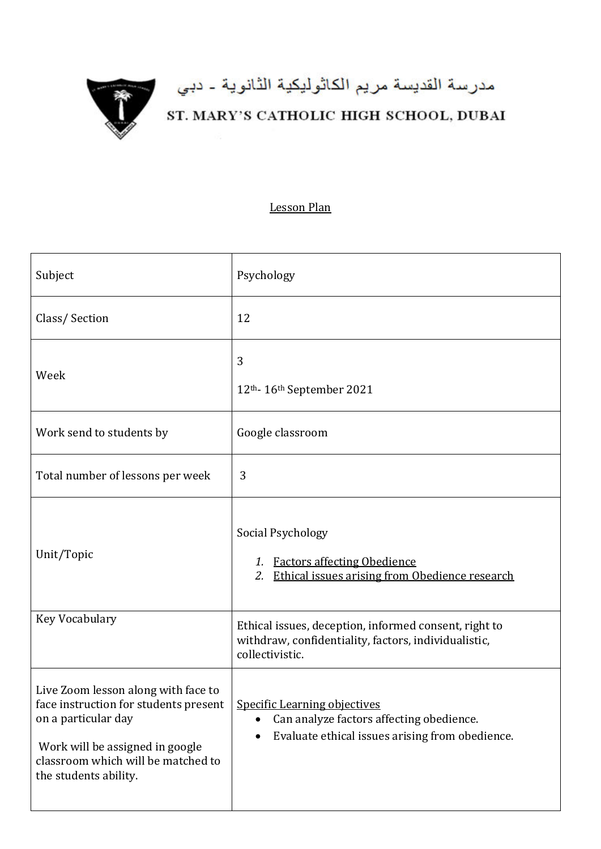

## مدرسة القديسة مريم الكاثوليكية الثانوية ـ دبي<br>ST. MARY'S CATHOLIC HIGH SCHOOL, DUBAI

## Lesson Plan

| Subject                                                                                                                                                                                               | Psychology                                                                                                                                      |
|-------------------------------------------------------------------------------------------------------------------------------------------------------------------------------------------------------|-------------------------------------------------------------------------------------------------------------------------------------------------|
| Class/Section                                                                                                                                                                                         | 12                                                                                                                                              |
| Week                                                                                                                                                                                                  | 3<br>12th-16th September 2021                                                                                                                   |
| Work send to students by                                                                                                                                                                              | Google classroom                                                                                                                                |
| Total number of lessons per week                                                                                                                                                                      | 3                                                                                                                                               |
| Unit/Topic                                                                                                                                                                                            | Social Psychology<br>1. Factors affecting Obedience<br>Ethical issues arising from Obedience research<br>2.                                     |
| Key Vocabulary                                                                                                                                                                                        | Ethical issues, deception, informed consent, right to<br>withdraw, confidentiality, factors, individualistic,<br>collectivistic.                |
| Live Zoom lesson along with face to<br>face instruction for students present<br>on a particular day<br>Work will be assigned in google<br>classroom which will be matched to<br>the students ability. | <b>Specific Learning objectives</b><br>Can analyze factors affecting obedience.<br>$\bullet$<br>Evaluate ethical issues arising from obedience. |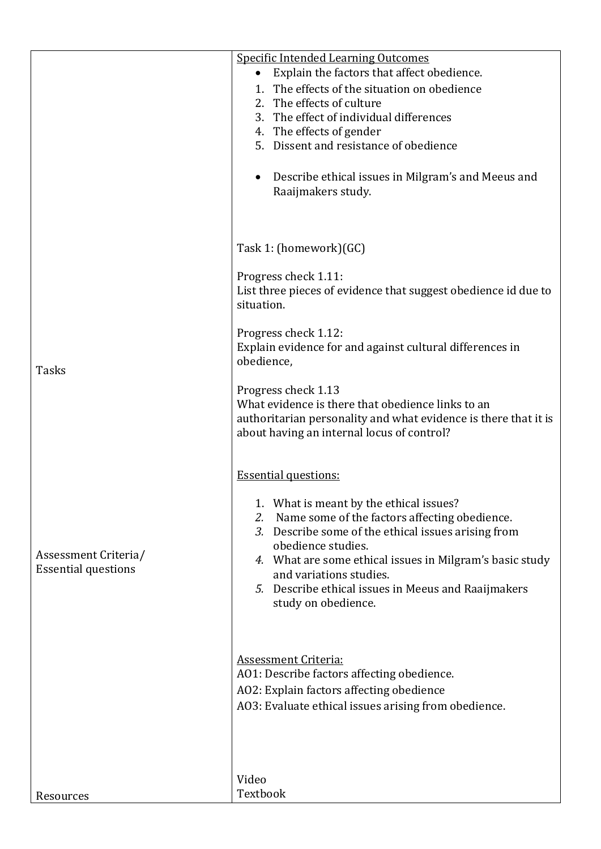|                            | <b>Specific Intended Learning Outcomes</b>                                                                                                                                                |
|----------------------------|-------------------------------------------------------------------------------------------------------------------------------------------------------------------------------------------|
|                            | Explain the factors that affect obedience.<br>$\bullet$                                                                                                                                   |
|                            | 1. The effects of the situation on obedience                                                                                                                                              |
|                            | 2. The effects of culture                                                                                                                                                                 |
|                            | 3. The effect of individual differences                                                                                                                                                   |
|                            | 4. The effects of gender                                                                                                                                                                  |
|                            | 5. Dissent and resistance of obedience                                                                                                                                                    |
|                            | Describe ethical issues in Milgram's and Meeus and<br>Raaijmakers study.                                                                                                                  |
|                            | Task 1: (homework)(GC)                                                                                                                                                                    |
|                            | Progress check 1.11:<br>List three pieces of evidence that suggest obedience id due to<br>situation.                                                                                      |
| <b>Tasks</b>               | Progress check 1.12:<br>Explain evidence for and against cultural differences in<br>obedience,                                                                                            |
|                            | Progress check 1.13<br>What evidence is there that obedience links to an<br>authoritarian personality and what evidence is there that it is<br>about having an internal locus of control? |
|                            | <b>Essential questions:</b>                                                                                                                                                               |
|                            | 1.<br>What is meant by the ethical issues?                                                                                                                                                |
|                            | Name some of the factors affecting obedience.<br>2.                                                                                                                                       |
|                            | 3. Describe some of the ethical issues arising from                                                                                                                                       |
| Assessment Criteria/       | obedience studies.                                                                                                                                                                        |
| <b>Essential questions</b> | 4. What are some ethical issues in Milgram's basic study<br>and variations studies.                                                                                                       |
|                            | 5. Describe ethical issues in Meeus and Raaijmakers<br>study on obedience.                                                                                                                |
|                            | <b>Assessment Criteria:</b>                                                                                                                                                               |
|                            | A01: Describe factors affecting obedience.                                                                                                                                                |
|                            | AO2: Explain factors affecting obedience                                                                                                                                                  |
|                            | AO3: Evaluate ethical issues arising from obedience.                                                                                                                                      |
|                            |                                                                                                                                                                                           |
|                            | Video                                                                                                                                                                                     |
| Resources                  | Textbook                                                                                                                                                                                  |